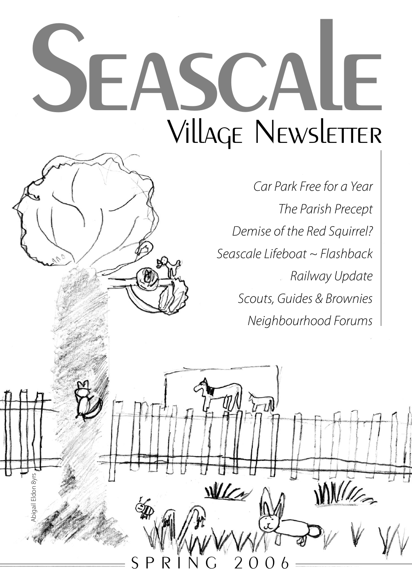# SEASCALE **Village Newsletter**

S P R I N G 2 0 0 6

WICM

Abigail Eldon 8yrs

**Eldon** 8vrs

*Car Park Free for a Year The Parish Precept Demise of the Red Squirrel? Seascale Lifeboat ~ Flashback Railway Update Scouts, Guides & Brownies Neighbourhood Forums*

 $\overline{\mathcal{U}}$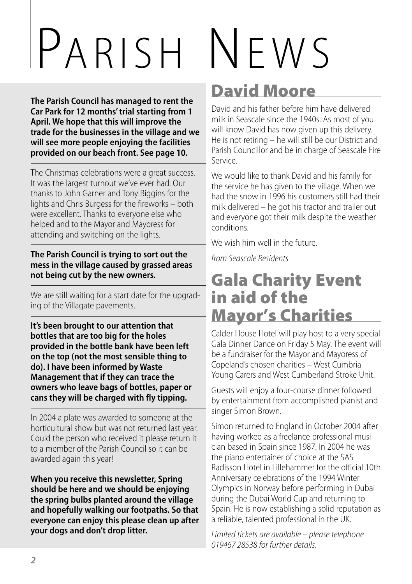# PARISH NEWS

**The Parish Council has managed to rent the Car Park for 12 months'trial starting from 1 April. We hope that this will improve the trade for the businesses in the village and we will see more people enjoying the facilities provided on our beach front. See page 10.**

The Christmas celebrations were a great success. It was the largest turnout we've ever had. Our thanks to John Garner and Tony Biggins for the lights and Chris Burgess for the fireworks – both were excellent. Thanks to everyone else who helped and to the Mayor and Mayoress for attending and switching on the lights.

**The Parish Council is trying to sort out the mess in the village caused by grassed areas not being cut by the new owners.**

We are still waiting for a start date for the upgrading of the Villagate pavements.

**It's been brought to our attention that bottles that are too big for the holes provided in the bottle bank have been left on the top (not the most sensible thing to do). I have been informed by Waste Management that if they can trace the owners who leave bags of bottles, paper or cans they will be charged with fly tipping.**

In 2004 a plate was awarded to someone at the horticultural show but was not returned last year. Could the person who received it please return it to a member of the Parish Council so it can be awarded again this year!

**When you receive this newsletter, Spring should be here and we should be enjoying the spring bulbs planted around the village and hopefully walking our footpaths. So that everyone can enjoy this please clean up after your dogs and don't drop litter.**

## **David Moore**

David and his father before him have delivered milk in Seascale since the 1940s. As most of you will know David has now given up this delivery. He is not retiring – he will still be our District and Parish Councillor and be in charge of Seascale Fire Service.

We would like to thank David and his family for the service he has given to the village. When we had the snow in 1996 his customers still had their milk delivered – he got his tractor and trailer out and everyone got their milk despite the weather conditions.

We wish him well in the future.

*from Seascale Residents*

## **Gala Charity Event in aid of the Mayor's Charities**

Calder House Hotel will play host to a very special Gala Dinner Dance on Friday 5 May. The event will be a fundraiser for the Mayor and Mayoress of Copeland's chosen charities – West Cumbria Young Carers and West Cumberland Stroke Unit.

Guests will enjoy a four-course dinner followed by entertainment from accomplished pianist and singer Simon Brown.

Simon returned to England in October 2004 after having worked as a freelance professional musician based in Spain since 1987. In 2004 he was the piano entertainer of choice at the SAS Radisson Hotel in Lillehammer for the official 10th Anniversary celebrations of the 1994 Winter Olympics in Norway before performing in Dubai during the Dubai World Cup and returning to Spain. He is now establishing a solid reputation as a reliable, talented professional in the UK.

*Limited tickets are available – please telephone 019467 28538 for further details.*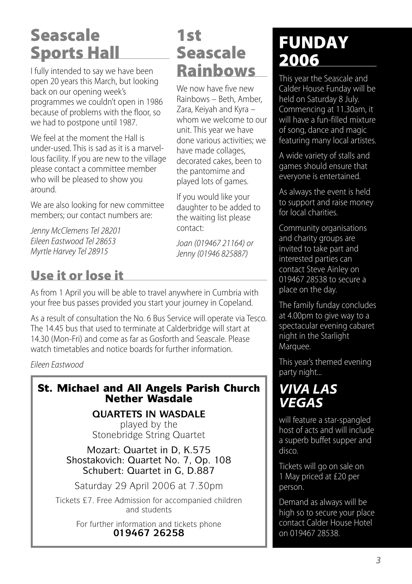# **Seascale Sports Hall**

I fully intended to say we have been open 20 years this March, but looking back on our opening week's programmes we couldn't open in 1986 because of problems with the floor, so we had to postpone until 1987.

We feel at the moment the Hall is under-used. This is sad as it is a marvellous facility. If you are new to the village please contact a committee member who will be pleased to show you around.

We are also looking for new committee members; our contact numbers are:

*Jenny McClemens Tel 28201 Eileen Eastwood Tel 28653 Myrtle Harvey Tel 28915*

### **Use it or lose it**

### **1st Seascale Rainbows**

We now have five new Rainbows – Beth, Amber, Zara, Keiyah and Kyra – whom we welcome to our unit. This year we have done various activities; we have made collages, decorated cakes, been to the pantomime and played lots of games.

If you would like your daughter to be added to the waiting list please contact:

*Joan (019467 21164) or Jenny(01946 825887)*

As from 1 April you will be able to travel anywhere in Cumbria with your free bus passes provided you start your journey in Copeland.

As a result of consultation the No. 6 Bus Service will operate via Tesco. The 14.45 bus that used to terminate at Calderbridge will start at 14.30 (Mon-Fri) and come as far as Gosforth and Seascale. Please watch timetables and notice boards for further information.

*Eileen Eastwood*

### **St. Michael and All Angels Parish Church Nether Wasdale**

**QUARTETS IN WASDALE**

played by the Stonebridge String Quartet

Mozart: Quartet in D, K.575 Shostakovich: Quartet No. 7, Op. 108 Schubert: Quartet in G, D.887

Saturday 29 April 2006 at 7.30pm

Tickets £7. Free Admission for accompanied children and students

> For further information and tickets phone **019467 26258**

# **FUNDAY 2006**

This year the Seascale and Calder House Funday will be held on Saturday 8 July. Commencing at 11.30am, it will have a fun-filled mixture of song, dance and magic featuring many local artistes.

A wide variety of stalls and games should ensure that everyone is entertained.

As always the event is held to support and raise money for local charities.

Community organisations and charity groups are invited to take part and interested parties can contact Steve Ainley on 019467 28538 to secure a place on the day.

The family funday concludes at 4.00pm to give way to a spectacular evening cabaret night in the Starlight Marquee.

This year's themed evening party night...

### *VIVA LAS VEGAS*

will feature a star-spangled host of acts and will include a superb buffet supper and disco.

Tickets will go on sale on 1 May priced at £20 per person.

Demand as always will be high so to secure your place contact Calder House Hotel on 019467 28538.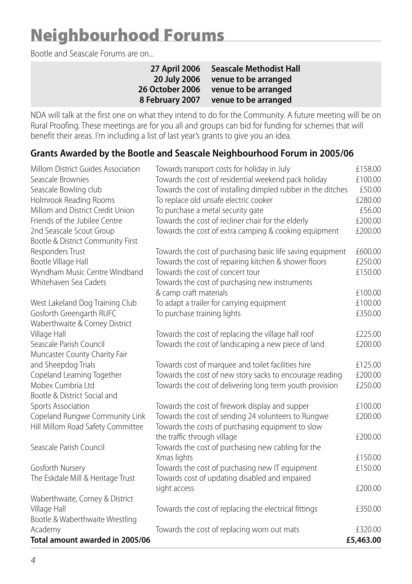# **Neighbourhood Forums**

Bootle and Seascale Forums are on...

| 27 April 2006          | <b>Seascale Methodist Hall</b> |
|------------------------|--------------------------------|
| 20 July 2006           | venue to be arranged           |
| <b>26 October 2006</b> | venue to be arranged           |
| 8 February 2007        | venue to be arranged           |

NDA will talk at the first one on what they intend to do for the Community. A future meeting will be on Rural Proofing. These meetings are for you all and groups can bid for funding for schemes that will benefit their areas. I'm including a list of last year's grants to give you an idea.

### **Grants Awarded by the Bootle and Seascale Neighbourhood Forum in 2005/06**

| Seascale Brownies<br>Towards the cost of residential weekend pack holiday<br>£100.00<br>Towards the cost of installing dimpled rubber in the ditches<br>£50.00<br>Seascale Bowling club<br>Holmrook Reading Rooms<br>£280.00<br>To replace old unsafe electric cooker<br>Millom and District Credit Union<br>£56.00<br>To purchase a metal security gate<br>Friends of the Jubilee Centre<br>Towards the cost of recliner chair for the elderly<br>£200.00<br>Towards the cost of extra camping & cooking equipment<br>£200.00<br>2nd Seascale Scout Group<br>Bootle & District Community First<br>Responders Trust<br>£600.00<br>Towards the cost of purchasing basic life saving equipment<br>Bootle Village Hall<br>Towards the cost of repairing kitchen & shower floors<br>£250.00<br>Wyndham Music Centre Windband<br>Towards the cost of concert tour<br>£150.00<br>Whitehaven Sea Cadets<br>Towards the cost of purchasing new instruments<br>& camp craft materials<br>£100.00<br>To adapt a trailer for carrying equipment<br>£100.00<br>West Lakeland Dog Training Club<br>Gosforth Greengarth RUFC<br>To purchase training lights<br>£350.00<br>Waberthwaite & Corney District<br>Village Hall<br>Towards the cost of replacing the village hall roof<br>£225.00<br>Seascale Parish Council<br>Towards the cost of landscaping a new piece of land<br>£200.00<br>Muncaster County Charity Fair<br>and Sheepdog Trials<br>Towards cost of marquee and toilet facilities hire<br>£125.00<br>Towards the cost of new story sacks to encourage reading<br>Copeland Learning Together<br>£200.00<br>Mobex Cumbria Ltd<br>Towards the cost of delivering long term youth provision<br>£250.00<br>Bootle & District Social and<br>Sports Association<br>Towards the cost of firework display and supper<br>£100.00<br>Copeland Rungwe Community Link<br>Towards the cost of sending 24 volunteers to Rungwe<br>£200.00<br>Hill Millom Road Safety Committee<br>Towards the costs of purchasing equipment to slow<br>the traffic through village<br>£200.00<br>Seascale Parish Council<br>Towards the cost of purchasing new cabling for the<br>Xmas lights<br>£150.00<br>Gosforth Nursery<br>Towards the cost of purchasing new IT equipment<br>£150.00<br>The Eskdale Mill & Heritage Trust<br>Towards cost of updating disabled and impaired<br>£200.00 | Millom District Guides Association | Towards transport costs for holiday in July | £158.00 |
|----------------------------------------------------------------------------------------------------------------------------------------------------------------------------------------------------------------------------------------------------------------------------------------------------------------------------------------------------------------------------------------------------------------------------------------------------------------------------------------------------------------------------------------------------------------------------------------------------------------------------------------------------------------------------------------------------------------------------------------------------------------------------------------------------------------------------------------------------------------------------------------------------------------------------------------------------------------------------------------------------------------------------------------------------------------------------------------------------------------------------------------------------------------------------------------------------------------------------------------------------------------------------------------------------------------------------------------------------------------------------------------------------------------------------------------------------------------------------------------------------------------------------------------------------------------------------------------------------------------------------------------------------------------------------------------------------------------------------------------------------------------------------------------------------------------------------------------------------------------------------------------------------------------------------------------------------------------------------------------------------------------------------------------------------------------------------------------------------------------------------------------------------------------------------------------------------------------------------------------------------------------------------------------------------------------------------------------------------------------|------------------------------------|---------------------------------------------|---------|
|                                                                                                                                                                                                                                                                                                                                                                                                                                                                                                                                                                                                                                                                                                                                                                                                                                                                                                                                                                                                                                                                                                                                                                                                                                                                                                                                                                                                                                                                                                                                                                                                                                                                                                                                                                                                                                                                                                                                                                                                                                                                                                                                                                                                                                                                                                                                                                |                                    |                                             |         |
|                                                                                                                                                                                                                                                                                                                                                                                                                                                                                                                                                                                                                                                                                                                                                                                                                                                                                                                                                                                                                                                                                                                                                                                                                                                                                                                                                                                                                                                                                                                                                                                                                                                                                                                                                                                                                                                                                                                                                                                                                                                                                                                                                                                                                                                                                                                                                                |                                    |                                             |         |
|                                                                                                                                                                                                                                                                                                                                                                                                                                                                                                                                                                                                                                                                                                                                                                                                                                                                                                                                                                                                                                                                                                                                                                                                                                                                                                                                                                                                                                                                                                                                                                                                                                                                                                                                                                                                                                                                                                                                                                                                                                                                                                                                                                                                                                                                                                                                                                |                                    |                                             |         |
|                                                                                                                                                                                                                                                                                                                                                                                                                                                                                                                                                                                                                                                                                                                                                                                                                                                                                                                                                                                                                                                                                                                                                                                                                                                                                                                                                                                                                                                                                                                                                                                                                                                                                                                                                                                                                                                                                                                                                                                                                                                                                                                                                                                                                                                                                                                                                                |                                    |                                             |         |
|                                                                                                                                                                                                                                                                                                                                                                                                                                                                                                                                                                                                                                                                                                                                                                                                                                                                                                                                                                                                                                                                                                                                                                                                                                                                                                                                                                                                                                                                                                                                                                                                                                                                                                                                                                                                                                                                                                                                                                                                                                                                                                                                                                                                                                                                                                                                                                |                                    |                                             |         |
|                                                                                                                                                                                                                                                                                                                                                                                                                                                                                                                                                                                                                                                                                                                                                                                                                                                                                                                                                                                                                                                                                                                                                                                                                                                                                                                                                                                                                                                                                                                                                                                                                                                                                                                                                                                                                                                                                                                                                                                                                                                                                                                                                                                                                                                                                                                                                                |                                    |                                             |         |
|                                                                                                                                                                                                                                                                                                                                                                                                                                                                                                                                                                                                                                                                                                                                                                                                                                                                                                                                                                                                                                                                                                                                                                                                                                                                                                                                                                                                                                                                                                                                                                                                                                                                                                                                                                                                                                                                                                                                                                                                                                                                                                                                                                                                                                                                                                                                                                |                                    |                                             |         |
|                                                                                                                                                                                                                                                                                                                                                                                                                                                                                                                                                                                                                                                                                                                                                                                                                                                                                                                                                                                                                                                                                                                                                                                                                                                                                                                                                                                                                                                                                                                                                                                                                                                                                                                                                                                                                                                                                                                                                                                                                                                                                                                                                                                                                                                                                                                                                                |                                    |                                             |         |
|                                                                                                                                                                                                                                                                                                                                                                                                                                                                                                                                                                                                                                                                                                                                                                                                                                                                                                                                                                                                                                                                                                                                                                                                                                                                                                                                                                                                                                                                                                                                                                                                                                                                                                                                                                                                                                                                                                                                                                                                                                                                                                                                                                                                                                                                                                                                                                |                                    |                                             |         |
|                                                                                                                                                                                                                                                                                                                                                                                                                                                                                                                                                                                                                                                                                                                                                                                                                                                                                                                                                                                                                                                                                                                                                                                                                                                                                                                                                                                                                                                                                                                                                                                                                                                                                                                                                                                                                                                                                                                                                                                                                                                                                                                                                                                                                                                                                                                                                                |                                    |                                             |         |
|                                                                                                                                                                                                                                                                                                                                                                                                                                                                                                                                                                                                                                                                                                                                                                                                                                                                                                                                                                                                                                                                                                                                                                                                                                                                                                                                                                                                                                                                                                                                                                                                                                                                                                                                                                                                                                                                                                                                                                                                                                                                                                                                                                                                                                                                                                                                                                |                                    |                                             |         |
|                                                                                                                                                                                                                                                                                                                                                                                                                                                                                                                                                                                                                                                                                                                                                                                                                                                                                                                                                                                                                                                                                                                                                                                                                                                                                                                                                                                                                                                                                                                                                                                                                                                                                                                                                                                                                                                                                                                                                                                                                                                                                                                                                                                                                                                                                                                                                                |                                    |                                             |         |
|                                                                                                                                                                                                                                                                                                                                                                                                                                                                                                                                                                                                                                                                                                                                                                                                                                                                                                                                                                                                                                                                                                                                                                                                                                                                                                                                                                                                                                                                                                                                                                                                                                                                                                                                                                                                                                                                                                                                                                                                                                                                                                                                                                                                                                                                                                                                                                |                                    |                                             |         |
|                                                                                                                                                                                                                                                                                                                                                                                                                                                                                                                                                                                                                                                                                                                                                                                                                                                                                                                                                                                                                                                                                                                                                                                                                                                                                                                                                                                                                                                                                                                                                                                                                                                                                                                                                                                                                                                                                                                                                                                                                                                                                                                                                                                                                                                                                                                                                                |                                    |                                             |         |
|                                                                                                                                                                                                                                                                                                                                                                                                                                                                                                                                                                                                                                                                                                                                                                                                                                                                                                                                                                                                                                                                                                                                                                                                                                                                                                                                                                                                                                                                                                                                                                                                                                                                                                                                                                                                                                                                                                                                                                                                                                                                                                                                                                                                                                                                                                                                                                |                                    |                                             |         |
|                                                                                                                                                                                                                                                                                                                                                                                                                                                                                                                                                                                                                                                                                                                                                                                                                                                                                                                                                                                                                                                                                                                                                                                                                                                                                                                                                                                                                                                                                                                                                                                                                                                                                                                                                                                                                                                                                                                                                                                                                                                                                                                                                                                                                                                                                                                                                                |                                    |                                             |         |
|                                                                                                                                                                                                                                                                                                                                                                                                                                                                                                                                                                                                                                                                                                                                                                                                                                                                                                                                                                                                                                                                                                                                                                                                                                                                                                                                                                                                                                                                                                                                                                                                                                                                                                                                                                                                                                                                                                                                                                                                                                                                                                                                                                                                                                                                                                                                                                |                                    |                                             |         |
|                                                                                                                                                                                                                                                                                                                                                                                                                                                                                                                                                                                                                                                                                                                                                                                                                                                                                                                                                                                                                                                                                                                                                                                                                                                                                                                                                                                                                                                                                                                                                                                                                                                                                                                                                                                                                                                                                                                                                                                                                                                                                                                                                                                                                                                                                                                                                                |                                    |                                             |         |
|                                                                                                                                                                                                                                                                                                                                                                                                                                                                                                                                                                                                                                                                                                                                                                                                                                                                                                                                                                                                                                                                                                                                                                                                                                                                                                                                                                                                                                                                                                                                                                                                                                                                                                                                                                                                                                                                                                                                                                                                                                                                                                                                                                                                                                                                                                                                                                |                                    |                                             |         |
|                                                                                                                                                                                                                                                                                                                                                                                                                                                                                                                                                                                                                                                                                                                                                                                                                                                                                                                                                                                                                                                                                                                                                                                                                                                                                                                                                                                                                                                                                                                                                                                                                                                                                                                                                                                                                                                                                                                                                                                                                                                                                                                                                                                                                                                                                                                                                                |                                    |                                             |         |
|                                                                                                                                                                                                                                                                                                                                                                                                                                                                                                                                                                                                                                                                                                                                                                                                                                                                                                                                                                                                                                                                                                                                                                                                                                                                                                                                                                                                                                                                                                                                                                                                                                                                                                                                                                                                                                                                                                                                                                                                                                                                                                                                                                                                                                                                                                                                                                |                                    |                                             |         |
|                                                                                                                                                                                                                                                                                                                                                                                                                                                                                                                                                                                                                                                                                                                                                                                                                                                                                                                                                                                                                                                                                                                                                                                                                                                                                                                                                                                                                                                                                                                                                                                                                                                                                                                                                                                                                                                                                                                                                                                                                                                                                                                                                                                                                                                                                                                                                                |                                    |                                             |         |
|                                                                                                                                                                                                                                                                                                                                                                                                                                                                                                                                                                                                                                                                                                                                                                                                                                                                                                                                                                                                                                                                                                                                                                                                                                                                                                                                                                                                                                                                                                                                                                                                                                                                                                                                                                                                                                                                                                                                                                                                                                                                                                                                                                                                                                                                                                                                                                |                                    |                                             |         |
|                                                                                                                                                                                                                                                                                                                                                                                                                                                                                                                                                                                                                                                                                                                                                                                                                                                                                                                                                                                                                                                                                                                                                                                                                                                                                                                                                                                                                                                                                                                                                                                                                                                                                                                                                                                                                                                                                                                                                                                                                                                                                                                                                                                                                                                                                                                                                                |                                    |                                             |         |
|                                                                                                                                                                                                                                                                                                                                                                                                                                                                                                                                                                                                                                                                                                                                                                                                                                                                                                                                                                                                                                                                                                                                                                                                                                                                                                                                                                                                                                                                                                                                                                                                                                                                                                                                                                                                                                                                                                                                                                                                                                                                                                                                                                                                                                                                                                                                                                |                                    |                                             |         |
|                                                                                                                                                                                                                                                                                                                                                                                                                                                                                                                                                                                                                                                                                                                                                                                                                                                                                                                                                                                                                                                                                                                                                                                                                                                                                                                                                                                                                                                                                                                                                                                                                                                                                                                                                                                                                                                                                                                                                                                                                                                                                                                                                                                                                                                                                                                                                                |                                    |                                             |         |
|                                                                                                                                                                                                                                                                                                                                                                                                                                                                                                                                                                                                                                                                                                                                                                                                                                                                                                                                                                                                                                                                                                                                                                                                                                                                                                                                                                                                                                                                                                                                                                                                                                                                                                                                                                                                                                                                                                                                                                                                                                                                                                                                                                                                                                                                                                                                                                |                                    |                                             |         |
|                                                                                                                                                                                                                                                                                                                                                                                                                                                                                                                                                                                                                                                                                                                                                                                                                                                                                                                                                                                                                                                                                                                                                                                                                                                                                                                                                                                                                                                                                                                                                                                                                                                                                                                                                                                                                                                                                                                                                                                                                                                                                                                                                                                                                                                                                                                                                                |                                    |                                             |         |
|                                                                                                                                                                                                                                                                                                                                                                                                                                                                                                                                                                                                                                                                                                                                                                                                                                                                                                                                                                                                                                                                                                                                                                                                                                                                                                                                                                                                                                                                                                                                                                                                                                                                                                                                                                                                                                                                                                                                                                                                                                                                                                                                                                                                                                                                                                                                                                |                                    |                                             |         |
|                                                                                                                                                                                                                                                                                                                                                                                                                                                                                                                                                                                                                                                                                                                                                                                                                                                                                                                                                                                                                                                                                                                                                                                                                                                                                                                                                                                                                                                                                                                                                                                                                                                                                                                                                                                                                                                                                                                                                                                                                                                                                                                                                                                                                                                                                                                                                                |                                    |                                             |         |
|                                                                                                                                                                                                                                                                                                                                                                                                                                                                                                                                                                                                                                                                                                                                                                                                                                                                                                                                                                                                                                                                                                                                                                                                                                                                                                                                                                                                                                                                                                                                                                                                                                                                                                                                                                                                                                                                                                                                                                                                                                                                                                                                                                                                                                                                                                                                                                |                                    | sight access                                |         |
| Waberthwaite, Corney & District                                                                                                                                                                                                                                                                                                                                                                                                                                                                                                                                                                                                                                                                                                                                                                                                                                                                                                                                                                                                                                                                                                                                                                                                                                                                                                                                                                                                                                                                                                                                                                                                                                                                                                                                                                                                                                                                                                                                                                                                                                                                                                                                                                                                                                                                                                                                |                                    |                                             |         |
| Village Hall<br>Towards the cost of replacing the electrical fittings<br>£350.00                                                                                                                                                                                                                                                                                                                                                                                                                                                                                                                                                                                                                                                                                                                                                                                                                                                                                                                                                                                                                                                                                                                                                                                                                                                                                                                                                                                                                                                                                                                                                                                                                                                                                                                                                                                                                                                                                                                                                                                                                                                                                                                                                                                                                                                                               |                                    |                                             |         |
| Bootle & Waberthwaite Wrestling                                                                                                                                                                                                                                                                                                                                                                                                                                                                                                                                                                                                                                                                                                                                                                                                                                                                                                                                                                                                                                                                                                                                                                                                                                                                                                                                                                                                                                                                                                                                                                                                                                                                                                                                                                                                                                                                                                                                                                                                                                                                                                                                                                                                                                                                                                                                |                                    |                                             |         |
| Academy<br>Towards the cost of replacing worn out mats<br>£320.00                                                                                                                                                                                                                                                                                                                                                                                                                                                                                                                                                                                                                                                                                                                                                                                                                                                                                                                                                                                                                                                                                                                                                                                                                                                                                                                                                                                                                                                                                                                                                                                                                                                                                                                                                                                                                                                                                                                                                                                                                                                                                                                                                                                                                                                                                              |                                    |                                             |         |
| Total amount awarded in 2005/06<br>£5,463.00                                                                                                                                                                                                                                                                                                                                                                                                                                                                                                                                                                                                                                                                                                                                                                                                                                                                                                                                                                                                                                                                                                                                                                                                                                                                                                                                                                                                                                                                                                                                                                                                                                                                                                                                                                                                                                                                                                                                                                                                                                                                                                                                                                                                                                                                                                                   |                                    |                                             |         |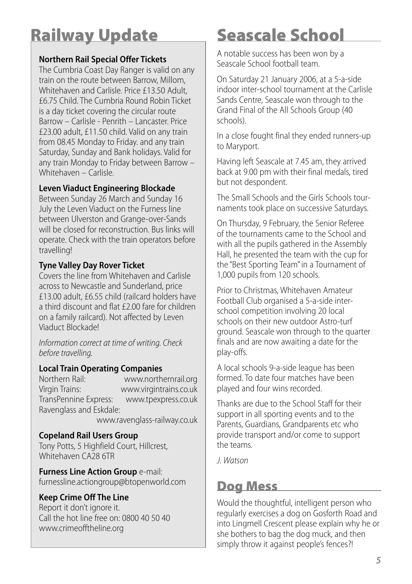# **Railway Update**

### **Northern Rail Special Offer Tickets**

The Cumbria Coast Day Ranger is valid on any train on the route between Barrow, Millom, Whitehaven and Carlisle. Price £13.50 Adult, £6.75 Child. The Cumbria Round Robin Ticket is a day ticket covering the circular route Barrow – Carlisle - Penrith – Lancaster. Price £23.00 adult, £11.50 child. Valid on any train from 08.45 Monday to Friday. and any train Saturday, Sunday and Bank holidays. Valid for any train Monday to Friday between Barrow – Whitehaven – Carlisle.

### **Leven Viaduct Engineering Blockade**

Between Sunday 26 March and Sunday 16 July the Leven Viaduct on the Furness line between Ulverston and Grange-over-Sands will be closed for reconstruction. Bus links will operate. Check with the train operators before travelling!

### **Tyne Valley Day Rover Ticket**

Covers the line from Whitehaven and Carlisle across to Newcastle and Sunderland, price £13.00 adult, £6.55 child (railcard holders have a third discount and flat £2.00 fare for children on a family railcard). Not affected by Leven Viaduct Blockade!

*Information correct at time of writing. Check before* travelling.

#### **Local Train Operating Companies**

Northern Rail: www.northernrail.org Virgin Trains: www.virgintrains.co.uk TransPennine Express: Ravenglass and Eskdale:

www.ravenglass-railway.co.uk

#### **Copeland Rail Users Group**

Tony Potts, 5 Highfield Court, Hillcrest, Whitehaven CA28 6TR

**Furness Line Action Group** e-mail: furnessline.actiongroup@btopenworld.com

### **Keep Crime Off The Line**

Report it don't ignore it. Call the hot line free on: 0800 40 50 40 www.crimeofftheline.org

# **Seascale School**

A notable success has been won by a Seascale School football team.

On Saturday 21 January 2006, at a 5-a-side indoor inter-school tournament at the Carlisle Sands Centre, Seascale won through to the Grand Final of the All Schools Group (40 schools).

In a close fought final they ended runners-up to Maryport.

Having left Seascale at 7.45 am, they arrived back at 9.00 pm with their final medals, tired but not despondent.

The Small Schools and the Girls Schools tournaments took place on successive Saturdays.

On Thursday, 9 February, the Senior Referee of the tournaments came to the School and with all the pupils gathered in the Assembly Hall, he presented the team with the cup for the "Best Sporting Team"in a Tournament of 1,000 pupils from 120 schools.

Prior to Christmas, Whitehaven Amateur Football Club organised a 5-a-side interschool competition involving 20 local schools on their new outdoor Astro-turf ground. Seascale won through to the quarter finals and are now awaiting a date for the play-offs.

A local schools 9-a-side league has been formed. To date four matches have been played and four wins recorded.

Thanks are due to the School Staff for their support in all sporting events and to the Parents, Guardians, Grandparents etc who provide transport and/or come to support the teams.

*J. Watson*

### **Dog Mess**

Would the thoughtful, intelligent person who regularly exercises a dog on Gosforth Road and into Lingmell Crescent please explain why he or she bothers to bag the dog muck, and then simply throw it against people's fences?!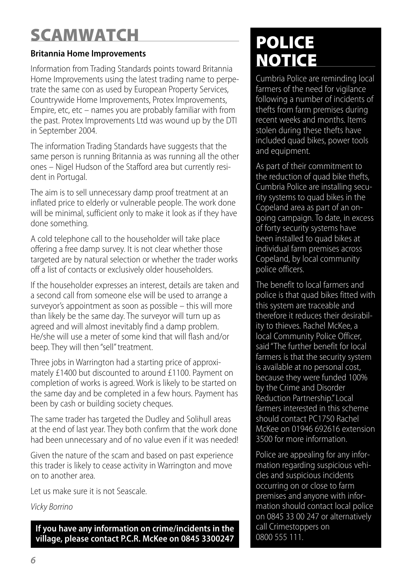# **SCAMWATCH**

### **Britannia Home Improvements**

Information from Trading Standards points toward Britannia Home Improvements using the latest trading name to perpetrate the same con as used by European Property Services, Countrywide Home Improvements, Protex Improvements, Empire, etc, etc – names you are probably familiar with from the past. Protex Improvements Ltd was wound up by the DTI in September 2004.

The information Trading Standards have suggests that the same person is running Britannia as was running all the other ones – Nigel Hudson of the Stafford area but currently resident in Portugal.

The aim is to sell unnecessary damp proof treatment at an inflated price to elderly or vulnerable people. The work done will be minimal, sufficient only to make it look as if they have done something.

A cold telephone call to the householder will take place offering a free damp survey. It is not clear whether those targeted are by natural selection or whether the trader works off a list of contacts or exclusively older householders.

If the householder expresses an interest, details are taken and a second call from someone else will be used to arrange a surveyor's appointment as soon as possible – this will more than likely be the same day. The surveyor will turn up as agreed and will almost inevitably find a damp problem. He/she will use a meter of some kind that will flash and/or beep. They will then "sell" treatment.

Three jobs in Warrington had a starting price of approximately £1400 but discounted to around £1100. Payment on completion of works is agreed. Work is likely to be started on the same day and be completed in a few hours. Payment has been by cash or building society cheques.

The same trader has targeted the Dudley and Solihull areas at the end of last year. They both confirm that the work done had been unnecessary and of no value even if it was needed!

Given the nature of the scam and based on past experience this trader is likely to cease activity in Warrington and move on to another area.

Let us make sure it is not Seascale.

*Vicky Borrino*

**If you have any information on crime/incidents in the village, please contact P.C.R. McKee on 0845 3300247**

# **POLICE NOTICE**

Cumbria Police are reminding local farmers of the need for vigilance following a number of incidents of thefts from farm premises during recent weeks and months. Items stolen during these thefts have included quad bikes, power tools and equipment.

As part of their commitment to the reduction of quad bike thefts, Cumbria Police are installing security systems to quad bikes in the Copeland area as part of an ongoing campaign. To date, in excess of forty security systems have been installed to quad bikes at individual farm premises across Copeland, by local community police officers.

The benefit to local farmers and police is that quad bikes fitted with this system are traceable and therefore it reduces their desirability to thieves. Rachel McKee, a local Community Police Officer, said "The further benefit for local farmers is that the security system is available at no personal cost, because they were funded 100% by the Crime and Disorder Reduction Partnership." Local farmers interested in this scheme should contact PC1750 Rachel McKee on 01946 692616 extension 3500 for more information.

Police are appealing for any information regarding suspicious vehicles and suspicious incidents occurring on or close to farm premises and anyone with information should contact local police on 0845 33 00 247 or alternatively call Crimestoppers on 0800 555 111.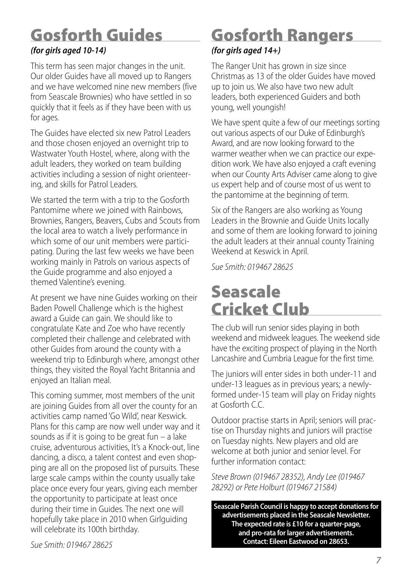# **Gosforth Guides**

### *(for girls aged 10-14)*

This term has seen major changes in the unit. Our older Guides have all moved up to Rangers and we have welcomed nine new members (five from Seascale Brownies) who have settled in so quickly that it feels as if they have been with us for ages.

The Guides have elected six new Patrol Leaders and those chosen enjoyed an overnight trip to Wastwater Youth Hostel, where, along with the adult leaders, they worked on team building activities including a session of night orienteering, and skills for Patrol Leaders.

We started the term with a trip to the Gosforth Pantomime where we joined with Rainbows, Brownies, Rangers, Beavers, Cubs and Scouts from the local area to watch a lively performance in which some of our unit members were participating. During the last few weeks we have been working mainly in Patrols on various aspects of the Guide programme and also enjoyed a themed Valentine's evening.

At present we have nine Guides working on their Baden Powell Challenge which is the highest award a Guide can gain. We should like to congratulate Kate and Zoe who have recently completed their challenge and celebrated with other Guides from around the county with a weekend trip to Edinburgh where, amongst other things, they visited the Royal Yacht Britannia and enjoyed an Italian meal.

This coming summer, most members of the unit are joining Guides from all over the county for an activities camp named 'Go Wild', near Keswick. Plans for this camp are now well under way and it sounds as if it is going to be great fun – a lake cruise, adventurous activities, It's a Knock-out, line dancing, a disco, a talent contest and even shopping are all on the proposed list of pursuits. These large scale camps within the county usually take place once every four years, giving each member the opportunity to participate at least once during their time in Guides. The next one will hopefully take place in 2010 when Girlguiding will celebrate its 100th birthday.

**Gosforth Rangers**

### *(for girls aged 14+)*

The Ranger Unit has grown in size since Christmas as 13 of the older Guides have moved up to join us. We also have two new adult leaders, both experienced Guiders and both young, well youngish!

We have spent quite a few of our meetings sorting out various aspects of our Duke of Edinburgh's Award, and are now looking forward to the warmer weather when we can practice our expedition work. We have also enjoyed a craft evening when our County Arts Adviser came along to give us expert help and of course most of us went to the pantomime at the beginning of term.

Six of the Rangers are also working as Young Leaders in the Brownie and Guide Units locally and some of them are looking forward to joining the adult leaders at their annual county Training Weekend at Keswick in April.

*Sue Smith: 019467 28625*

## **Seascale Cricket Club**

The club will run senior sides playing in both weekend and midweek leagues. The weekend side have the exciting prospect of playing in the North Lancashire and Cumbria League for the first time.

The juniors will enter sides in both under-11 and under-13 leagues as in previous years; a newlyformed under-15 team will play on Friday nights at Gosforth C.C.

Outdoor practise starts in April; seniors will practise on Thursday nights and juniors will practise on Tuesday nights. New players and old are welcome at both junior and senior level. For further information contact:

*Steve Brown (019467 28352), AndyLee(019467 28292) or Pete Holburt (019467 21584)*

**Seascale Parish Council is happy to accept donationsfor advertisements placed in the Seascale Newsletter. The expected rate is £10 for a quarter-page, and pro-rata forlarger advertisements. Contact: Eileen Eastwood on 28653.**

*Sue Smith: 019467 28625*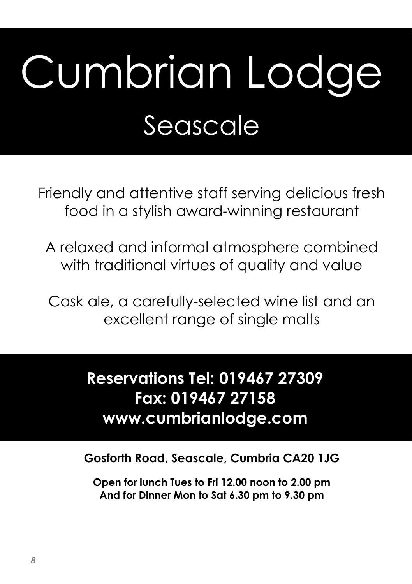# Cumbrian Lodge Seascale

Friendly and attentive staff serving delicious fresh food in a stylish award-winning restaurant

A relaxed and informal atmosphere combined with traditional virtues of quality and value

Cask ale, a carefully-selected wine list and an excellent range of single malts

# **Reservations Tel: 019467 27309 Fax: 019467 27158 www.cumbrianlodge.com**

**Gosforth Road, Seascale, Cumbria CA20 1JG** 

**Open for lunch Tues to Fri 12.00 noon to 2.00 pm And for Dinner Mon to Sat 6.30 pm to 9.30 pm**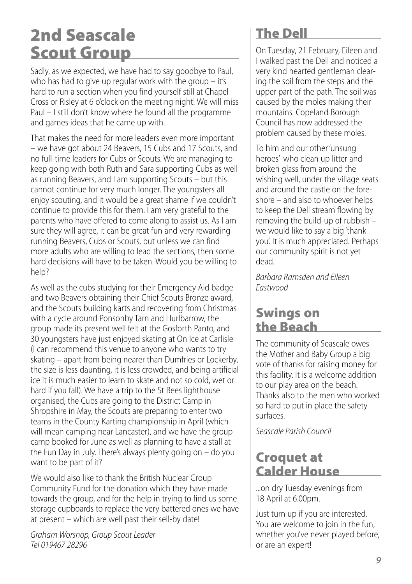## **2nd Seascale Scout Group**

Sadly, as we expected, we have had to say goodbye to Paul, who has had to give up regular work with the group – it's hard to run a section when you find yourself still at Chapel Cross or Risley at 6 o'clock on the meeting night! We will miss Paul – I still don't know where he found all the programme and games ideas that he came up with.

That makes the need for more leaders even more important – we have got about 24 Beavers, 15 Cubs and 17 Scouts, and no full-time leaders for Cubs or Scouts. We are managing to keep going with both Ruth and Sara supporting Cubs as well as running Beavers, and I am supporting Scouts – but this cannot continue for very much longer. The youngsters all enjoy scouting, and it would be a great shame if we couldn't continue to provide this for them. I am very grateful to the parents who have offered to come along to assist us. As I am sure they will agree, it can be great fun and very rewarding running Beavers, Cubs or Scouts, but unless we can find more adults who are willing to lead the sections, then some hard decisions will have to be taken. Would you be willing to help?

As well as the cubs studying for their Emergency Aid badge and two Beavers obtaining their Chief Scouts Bronze award, and the Scouts building karts and recovering from Christmas with a cycle around Ponsonby Tarn and Hurlbarrow, the group made its present well felt at the Gosforth Panto, and 30 youngsters have just enjoyed skating at On Ice at Carlisle (I can recommend this venue to anyone who wants to try skating – apart from being nearer than Dumfries or Lockerby, the size is less daunting, it is less crowded, and being artificial ice it is much easier to learn to skate and not so cold, wet or hard if you fall). We have a trip to the St Bees lighthouse organised, the Cubs are going to the District Camp in Shropshire in May, the Scouts are preparing to enter two teams in the County Karting championship in April (which will mean camping near Lancaster), and we have the group camp booked for June as well as planning to have a stall at the Fun Day in July. There's always plenty going on – do you want to be part of it?

We would also like to thank the British Nuclear Group Community Fund for the donation which they have made towards the group, and for the help in trying to find us some storage cupboards to replace the very battered ones we have at present – which are well past their sell-by date!

*Graham Worsnop, Group Scout Leader Tel 019467 28296*

### **The Dell**

On Tuesday, 21 February, Eileen and I walked past the Dell and noticed a very kind hearted gentleman clearing the soil from the steps and the upper part of the path. The soil was caused by the moles making their mountains. Copeland Borough Council has now addressed the problem caused by these moles.

To him and our other'unsung heroes' who clean up litter and broken glass from around the wishing well, under the village seats and around the castle on the foreshore – and also to whoever helps to keep the Dell stream flowing by removing the build-up of rubbish – we would like to say a big 'thank you'. It is much appreciated. Perhaps our community spirit is not yet dead.

*Barbara Ramsden and Eileen Eastwood*

### **Swings on the Beach**

The community of Seascale owes the Mother and Baby Group a big vote of thanks for raising money for this facility. It is a welcome addition to our play area on the beach. Thanks also to the men who worked so hard to put in place the safety surfaces.

*Seascale Parish Council*

### **Croquet at Calder House**

...on dry Tuesday evenings from 18 April at 6.00pm.

Just turn up if you are interested. You are welcome to join in the fun, whether you've never played before, or are an expert!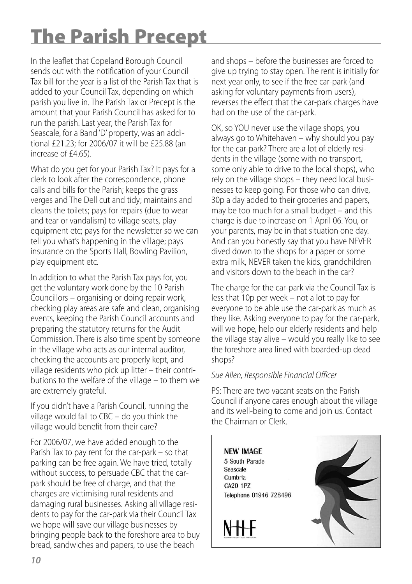# **The Parish Precept**

In the leaflet that Copeland Borough Council sends out with the notification of your Council Tax bill for the year is a list of the Parish Tax that is added to your Council Tax, depending on which parish you live in. The Parish Tax or Precept is the amount that your Parish Council has asked for to run the parish. Last year, the Parish Tax for Seascale, for a Band 'D' property, was an additional £21.23; for 2006/07 it will be £25.88 (an increase of £4.65).

What do you get for your Parish Tax? It pays for a clerk to look after the correspondence, phone calls and bills for the Parish; keeps the grass verges and The Dell cut and tidy; maintains and cleans the toilets; pays for repairs (due to wear and tear or vandalism) to village seats, play equipment etc; pays for the newsletter so we can tell you what's happening in the village; pays insurance on the Sports Hall, Bowling Pavilion, play equipment etc.

In addition to what the Parish Tax pays for, you get the voluntary work done by the 10 Parish Councillors – organising or doing repair work, checking play areas are safe and clean, organising events, keeping the Parish Council accounts and preparing the statutory returns for the Audit Commission. There is also time spent by someone in the village who acts as our internal auditor, checking the accounts are properly kept, and village residents who pick up litter – their contributions to the welfare of the village – to them we are extremely grateful.

If you didn't have a Parish Council, running the village would fall to CBC – do you think the village would benefit from their care?

For 2006/07, we have added enough to the Parish Tax to pay rent for the car-park – so that parking can be free again. We have tried, totally without success, to persuade CBC that the carpark should be free of charge, and that the charges are victimising rural residents and damaging rural businesses. Asking all village residents to pay for the car-park via their Council Tax we hope will save our village businesses by bringing people back to the foreshore area to buy bread, sandwiches and papers, to use the beach

and shops – before the businesses are forced to give up trying to stay open. The rent is initially for next year only, to see if the free car-park (and asking for voluntary payments from users), reverses the effect that the car-park charges have had on the use of the car-park.

OK, so YOU never use the village shops, you always go to Whitehaven – why should you pay for the car-park? There are a lot of elderly residents in the village (some with no transport, some only able to drive to the local shops), who rely on the village shops – they need local businesses to keep going. For those who can drive, 30p a day added to their groceries and papers, may be too much for a small budget – and this charge is due to increase on 1 April 06. You, or your parents, may be in that situation one day. And can you honestly say that you have NEVER dived down to the shops for a paper or some extra milk, NEVER taken the kids, grandchildren and visitors down to the beach in the car?

The charge for the car-park via the Council Tax is less that 10p per week – not a lot to pay for everyone to be able use the car-park as much as they like. Asking everyone to pay for the car-park, will we hope, help our elderly residents and help the village stay alive – would you really like to see the foreshore area lined with boarded-up dead shops?

#### *Sue Allen, ResponsibleFinancial Officer*

PS: There are two vacant seats on the Parish Council if anyone cares enough about the village and its well-being to come and join us. Contact the Chairman or Clerk.

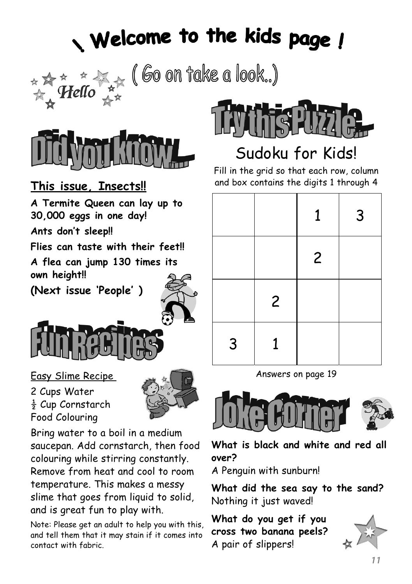# Welcome to the kids page !

( Go on take a look..)



**This issue, Insects!!**

**A Termite Queen can lay up to 30,000 eggs in one day!**

**Ants don't sleep!!**

**Flies can taste with their feet!!**

**A flea can jump 130 times its own height!!**

**(Next issue 'People' )**



### Easy Slime Recipe

2 Cups Water  $\frac{1}{2}$  Cup Cornstarch Food Colouring



Bring water to a boil in a medium saucepan. Add cornstarch, then food colouring while stirring constantly. Remove from heat and cool to room temperature. This makes a messy slime that goes from liquid to solid, and is great fun to play with.

Note: Please get an adult to help you with this, and tell them that it may stain if it comes into contact with fabric.



# Sudoku for Kids!

Fill in the grid so that each row, column and box contains the digits 1 through 4

|   |                | $\mathbf{1}$   | 3 |
|---|----------------|----------------|---|
|   |                | $\overline{2}$ |   |
|   | $\overline{c}$ |                |   |
| 3 | 1              |                |   |

Answers on page 19



**What is black and white and red all over?**

A Penguin with sunburn!

**What did the sea say to the sand?** Nothing it just waved!

**What do you get if you cross two banana peels?** A pair of slippers!

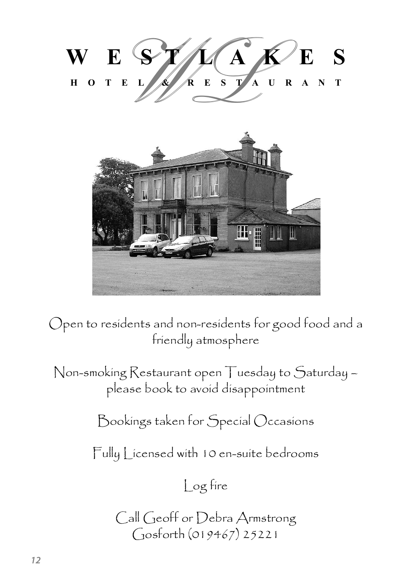



Open to residents and non-residents for good food and a friendly atmosphere

Non-smoking Restaurant open Tuesday to Saturday – please book to avoid disappointment

Bookings taken for Special Occasions

Fully Licensed with 10 en-suite bedrooms

Log fire

Call Geoff or Debra Armstrong Gosforth (019467) 25221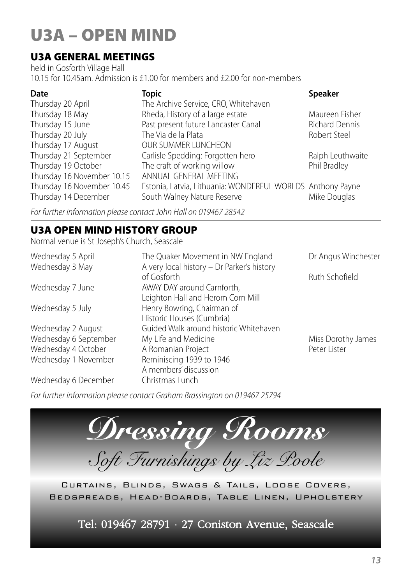# **U3A – OPEN MIND**

### **U3A GENERAL MEETINGS**

held in Gosforth Village Hall 10.15 for 10.45am. Admission is £1.00 for members and £2.00 for non-members

| <b>Topic</b>                                               | <b>Speaker</b>        |
|------------------------------------------------------------|-----------------------|
| The Archive Service, CRO, Whitehaven                       |                       |
| Rheda, History of a large estate                           | Maureen Fisher        |
| Past present future Lancaster Canal                        | <b>Richard Dennis</b> |
| The Via de la Plata                                        | Robert Steel          |
| OUR SUMMER LUNCHEON                                        |                       |
| Carlisle Spedding: Forgotten hero                          | Ralph Leuthwaite      |
| The craft of working willow                                | Phil Bradley          |
| ANNUAL GENERAL MEETING                                     |                       |
| Estonia, Latvia, Lithuania: WONDERFUL WORLDS Anthony Payne |                       |
| South Walney Nature Reserve                                | Mike Douglas          |
|                                                            |                       |

*For further information pleasecontact John Hall on 019467 28542*

### **U3A OPEN MIND HISTORY GROUP**

Normal venue is St Joseph's Church, Seascale

| Wednesday 5 April     | The Quaker Movement in NW England          | Dr Angus Winchester |
|-----------------------|--------------------------------------------|---------------------|
| Wednesday 3 May       | A very local history - Dr Parker's history |                     |
|                       | of Gosforth                                | Ruth Schofield      |
| Wednesday 7 June      | AWAY DAY around Carnforth,                 |                     |
|                       | Leighton Hall and Herom Corn Mill          |                     |
| Wednesday 5 July      | Henry Bowring, Chairman of                 |                     |
|                       | Historic Houses (Cumbria)                  |                     |
| Wednesday 2 August    | Guided Walk around historic Whitehaven     |                     |
| Wednesday 6 September | My Life and Medicine                       | Miss Dorothy James  |
| Wednesday 4 October   | A Romanian Project                         | Peter Lister        |
| Wednesday 1 November  | Reminiscing 1939 to 1946                   |                     |
|                       | A members' discussion                      |                     |
| Wednesday 6 December  | Christmas Lunch                            |                     |

*For further information pleasecontact Graham Brassington on 019467 25794*



Bedspreads, Head-Boards, Table Linen, Upholstery

Tel: 019467 28791 · 27 Coniston Avenue, Seascale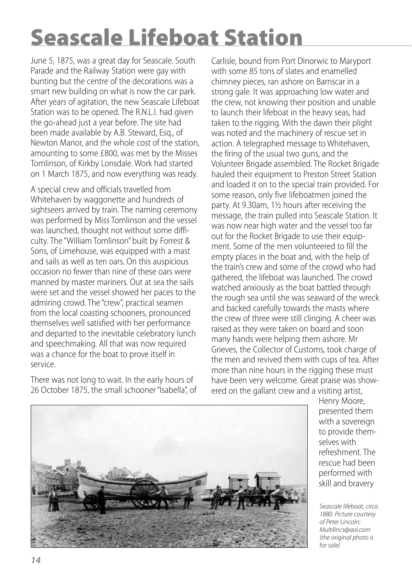# **Seascale Lifeboat Station**

June 5, 1875, was a great day for Seascale. South Parade and the Railway Station were gay with bunting but the centre of the decorations was a smart new building on what is now the car park. After years of agitation, the new Seascale Lifeboat Station was to be opened. The R.N.L.I. had given the go-ahead just a year before. The site had been made available by A.B. Steward, Esq., of Newton Manor, and the whole cost of the station, amounting to some £800, was met by the Misses Tomlinson, of Kirkby Lonsdale. Work had started on 1 March 1875, and now everything was ready.

A special crew and officials travelled from Whitehaven by waggonette and hundreds of sightseers arrived by train. The naming ceremony was performed by Miss Tomlinson and the vessel was launched, thought not without some difficulty. The "William Tomlinson" built by Forrest & Sons, of Limehouse, was equipped with a mast and sails as well as ten oars. On this auspicious occasion no fewer than nine of these oars were manned by master mariners. Out at sea the sails were set and the vessel showed her paces to the admiring crowd. The "crew", practical seamen from the local coasting schooners, pronounced themselves well satisfied with her performance and departed to the inevitable celebratory lunch and speechmaking. All that was now required was a chance for the boat to prove itself in service.

There was not long to wait. In the early hours of 26 October 1875, the small schooner "Isabella", of Carlisle, bound from Port Dinorwic to Maryport with some 85 tons of slates and enamelled chimney pieces, ran ashore on Barnscar in a strong gale. It was approaching low water and the crew, not knowing their position and unable to launch their lifeboat in the heavy seas, had taken to the rigging. With the dawn their plight was noted and the machinery of rescue set in action. A telegraphed message to Whitehaven, the firing of the usual two guns, and the Volunteer Brigade assembled. The Rocket Brigade hauled their equipment to Preston Street Station and loaded it on to the special train provided. For some reason, only five lifeboatmen joined the party. At 9.30am, 1½ hours after receiving the message, the train pulled into Seascale Station. It was now near high water and the vessel too far out for the Rocket Brigade to use their equipment. Some of the men volunteered to fill the empty places in the boat and, with the help of the train's crew and some of the crowd who had gathered, the lifeboat was launched. The crowd watched anxiously as the boat battled through the rough sea until she was seaward of the wreck and backed carefully towards the masts where the crew of three were still clinging. A cheer was raised as they were taken on board and soon many hands were helping them ashore. Mr Grieves, the Collector of Customs, took charge of the men and revived them with cups of tea. After more than nine hours in the rigging these must have been very welcome. Great praise was showered on the gallant crew and a visiting artist,



Henry Moore, presented them with a sovereign to provide themselves with refreshment. The rescue had been performed with skill and bravery

*Seascale lifeboat, circa 1880. Picture courtesy of Peter Lincoln: Multilincs@aol.com (the original photo is for sale)*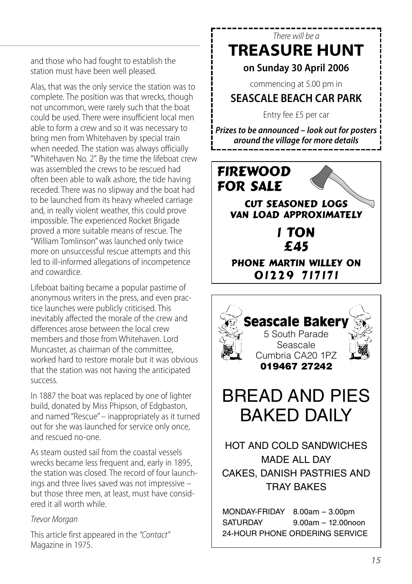and those who had fought to establish the station must have been well pleased.

Alas, that was the only service the station was to complete. The position was that wrecks, though not uncommon, were rarely such that the boat could be used. There were insufficient local men able to form a crew and so it was necessary to bring men from Whitehaven by special train when needed. The station was always officially "Whitehaven No. 2". By the time the lifeboat crew was assembled the crews to be rescued had often been able to walk ashore, the tide having receded. There was no slipway and the boat had to be launched from its heavy wheeled carriage and, in really violent weather, this could prove impossible. The experienced Rocket Brigade proved a more suitable means of rescue. The "William Tomlinson"was launched only twice more on unsuccessful rescue attempts and this led to ill-informed allegations of incompetence and cowardice.

Lifeboat baiting became a popular pastime of anonymous writers in the press, and even practice launches were publicly criticised. This inevitably affected the morale of the crew and differences arose between the local crew members and those from Whitehaven. Lord Muncaster, as chairman of the committee worked hard to restore morale but it was obvious that the station was not having the anticipated success.

In 1887 the boat was replaced by one of lighter build, donated by Miss Phipson, of Edgbaston, and named "Rescue"– inappropriately as it turned out for she was launched for service only once, and rescued no-one.

As steam ousted sail from the coastal vessels wrecks became less frequent and, early in 1895, the station was closed. The record of four launchings and three lives saved was not impressive – but those three men, at least, must have considered it all worth while.

#### *Trevor Morgan*

This article first appeared in the *"Contact"* Magazine in 1975.

### *There will be a* **TREASURE HUNT**

### **on Sunday 30 April 2006**

commencing at 5.00 pm in

### **SEASCALE BEACH CAR PARK**

Entry fee £5 per car

*Prizes to be announced – look out for posters around the village for more details*



MONDAY-FRIDAY 8.00am – 3.00pm SATURDAY 9.00am – 12.00noon 24-HOUR PHONE ORDERING SERVICE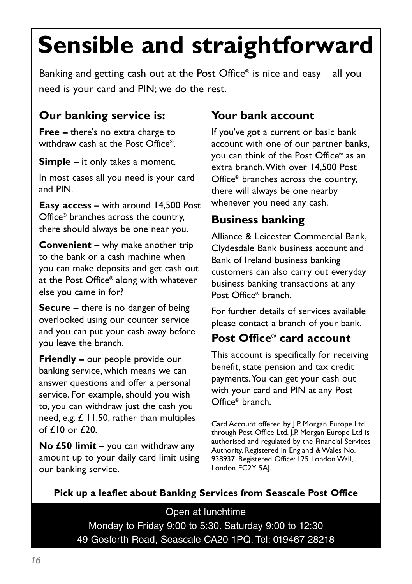# **Sensible and straightforward**

Banking and getting cash out at the Post Office® is nice and easy – all you need is your card and PIN; we do the rest.

### **Our banking service is:**

**Free –** there's no extra charge to withdraw cash at the Post Office®

**Simple –** it only takes a moment.

In most cases all you need is your card and PIN.

**Easy access –** with around 14,500 Post Office® branches across the country, there should always be one near you.

**Convenient** – why make another trip to the bank or a cash machine when you can make deposits and get cash out at the Post Office® along with whatever else you came in for?

**Secure –** there is no danger of being overlooked using our counter service and you can put your cash away before you leave the branch.

**Friendly –** our people provide our banking service, which means we can answer questions and offer a personal service. For example, should you wish to, you can withdraw just the cash you need, e.g. £ 11.50, rather than multiples of £10 or £20.

**No £50 limit –** you can withdraw any amount up to your daily card limit using our banking service.

### **Your bank account**

If you've got a current or basic bank account with one of our partner banks, you can think of the Post Office® as an extra branch.With over 14,500 Post Office® branches across the country, there will always be one nearby whenever you need any cash.

### **Business banking**

Alliance & Leicester Commercial Bank, Clydesdale Bank business account and Bank of Ireland business banking customers can also carry out everyday business banking transactions at any Post Office® branch.

For further details of services available please contact a branch of your bank.

### **Post Office® card account**

This account is specifically for receiving benefit, state pension and tax credit payments.You can get your cash out with your card and PIN at any Post Office® branch.

Card Account offered by J.P. Morgan Europe Ltd through Post Office Ltd. J.P. Morgan Europe Ltd is authorised and regulated by the Financial Services Authority. Registered in England & Wales No. 938937. Registered Office: 125 London Wall, London EC2Y 5AJ.

### **Pick up a leaflet about Banking Services from Seascale Post Office**

Open at lunchtime Monday to Friday 9:00 to 5:30. Saturday 9:00 to 12:30 49 Gosforth Road, Seascale CA20 1PQ. Tel: 019467 28218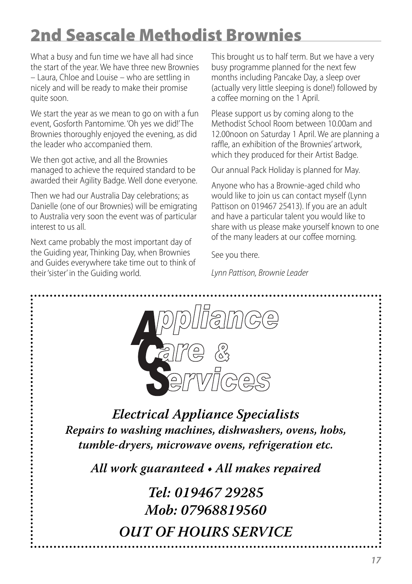# **2nd Seascale Methodist Brownies**

What a busy and fun time we have all had since the start of the year. We have three new Brownies – Laura, Chloe and Louise – who are settling in nicely and will be ready to make their promise quite soon.

We start the year as we mean to go on with a fun event, Gosforth Pantomime. 'Oh yes we did!'The Brownies thoroughly enjoyed the evening, as did the leader who accompanied them.

We then got active, and all the Brownies managed to achieve the required standard to be awarded their Agility Badge. Well done everyone.

Then we had our Australia Day celebrations; as Danielle (one of our Brownies) will be emigrating to Australia very soon the event was of particular interest to us all.

Next came probably the most important day of the Guiding year, Thinking Day, when Brownies and Guides everywhere take time out to think of their'sister' in the Guiding world.

This brought us to half term. But we have a very busy programme planned for the next few months including Pancake Day, a sleep over (actually very little sleeping is done!) followed by a coffee morning on the 1 April.

Please support us by coming along to the Methodist School Room between 10.00am and 12.00noon on Saturday 1 April. We are planning a raffle, an exhibition of the Brownies' artwork, which they produced for their Artist Badge.

Our annual Pack Holiday is planned for May.

Anyone who has a Brownie-aged child who would like to join us can contact myself (Lynn Pattison on 019467 25413). If you are an adult and have a particular talent you would like to share with us please make yourself known to one of the many leaders at our coffee morning.

See you there.

*Lynn Pattison, BrownieLeader*

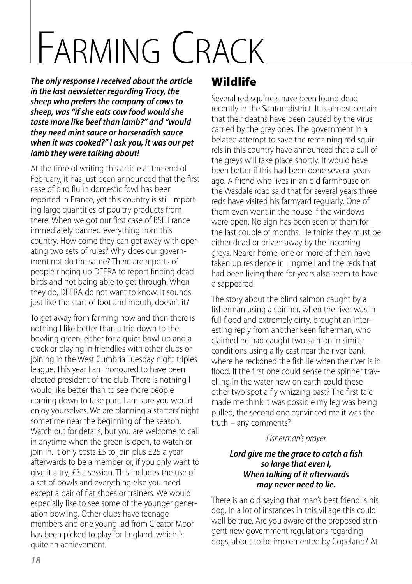# FARMING CRACK

*The only response I received about the article in the last newsletter regarding Tracy, the sheep who prefers the company ofcows to sheep, was "if she eatscow food would she taste more like beef than lamb?" and "would they need mint sauce or horseradish sauce when it wascooked?" I ask you, it was our pet lamb they were talking about!*

At the time of writing this article at the end of February, it has just been announced that the first case of bird flu in domestic fowl has been reported in France, yet this country is still importing large quantities of poultry products from there. When we got our first case of BSE France immediately banned everything from this country. How come they can get away with operating two sets of rules? Why does our government not do the same? There are reports of people ringing up DEFRA to report finding dead birds and not being able to get through. When they do, DEFRA do not want to know. It sounds just like the start of foot and mouth, doesn't it?

To get away from farming now and then there is nothing I like better than a trip down to the bowling green, either for a quiet bowl up and a crack or playing in friendlies with other clubs or joining in the West Cumbria Tuesday night triples league. This year I am honoured to have been elected president of the club. There is nothing I would like better than to see more people coming down to take part. I am sure you would enjoy yourselves. We are planning a starters' night sometime near the beginning of the season. Watch out for details, but you are welcome to call in anytime when the green is open, to watch or join in. It only costs £5 to join plus £25 a year afterwards to be a member or, if you only want to give it a try, £3 a session. This includes the use of a set of bowls and everything else you need except a pair of flat shoes or trainers. We would especially like to see some of the younger generation bowling. Other clubs have teenage members and one young lad from Cleator Moor has been picked to play for England, which is quite an achievement.

### **Wildlife**

Several red squirrels have been found dead recently in the Santon district. It is almost certain that their deaths have been caused by the virus carried by the grey ones. The government in a belated attempt to save the remaining red squirrels in this country have announced that a cull of the greys will take place shortly. It would have been better if this had been done several years ago. A friend who lives in an old farmhouse on the Wasdale road said that for several years three reds have visited his farmyard regularly. One of them even went in the house if the windows were open. No sign has been seen of them for the last couple of months. He thinks they must be either dead or driven away by the incoming greys. Nearer home, one or more of them have taken up residence in Lingmell and the reds that had been living there for years also seem to have disappeared.

The story about the blind salmon caught by a fisherman using a spinner, when the river was in full flood and extremely dirty, brought an interesting reply from another keen fisherman, who claimed he had caught two salmon in similar conditions using a fly cast near the river bank where he reckoned the fish lie when the river is in flood. If the first one could sense the spinner travelling in the water how on earth could these other two spot a fly whizzing past? The first tale made me think it was possible my leg was being pulled, the second one convinced me it was the truth – any comments?

### *Fisherman's prayer*

#### *Lord give me the grace to catch a fish so large that even I, When talking of it afterwards may never need to lie.*

There is an old saying that man's best friend is his dog. In a lot of instances in this village this could well be true. Are you aware of the proposed stringent new government regulations regarding dogs, about to be implemented by Copeland? At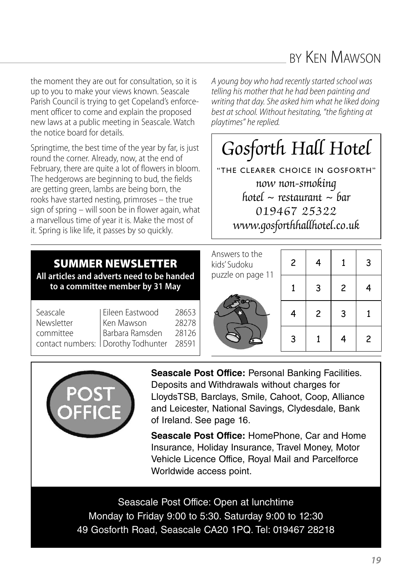### BY KEN MAWSON

the moment they are out for consultation, so it is up to you to make your views known. Seascale Parish Council is trying to get Copeland's enforcement officer to come and explain the proposed new laws at a public meeting in Seascale. Watch the notice board for details.

Springtime, the best time of the year by far, is just round the corner. Already, now, at the end of February, there are quite a lot of flowers in bloom. The hedgerows are beginning to bud, the fields are getting green, lambs are being born, the rooks have started nesting, primroses – the true sign of spring – will soon be in flower again, what a marvellous time of year it is. Make the most of it. Spring is like life, it passes by so quickly.

*A young boy who had recentlystarted school was telling* his mother that he had been painting and writing that day. She asked him what he liked doing *best at school. Without hesitating, "thefighting at playtimes" hereplied.*

# 2 Gosforth Hall Hotel

now non-smo<mark>ki</mark>ng a Testamana<br>019467 25322 www.gosforthhallhotel.co.uk | obviously it can be as small as you like as long as the kids can read it) "THE CLEARER CHOICE IN GOSFORTH" hotel  $\sim$  restaurant  $\sim$  har

### **SUMMER NEWSLETTER All articles and adverts need to be handed to a committee member by 31 May**

| Seascale | Eileen Eastwood                                               | 28653 |
|----------|---------------------------------------------------------------|-------|
|          |                                                               | 28278 |
|          |                                                               | 28126 |
|          | Newsletter<br>committee<br>contact numbers: Dorothy Todhunter | 28591 |
|          |                                                               |       |

Answers to the kids' Sudoku puzzle on page 11



| $\overline{\mathbf{c}}$ | 4 | $\mathbf 1$             | 3 |
|-------------------------|---|-------------------------|---|
| $\mathbf 1$             | 3 | $\overline{\mathbf{c}}$ | 4 |
| 4                       | 2 | 3                       | 1 |
| 3                       | 1 | 4                       | 2 |



**Seascale Post Office:** Personal Banking Facilities. Deposits and Withdrawals without charges for LloydsTSB, Barclays, Smile, Cahoot, Coop, Alliance and Leicester, National Savings, Clydesdale, Bank of Ireland. See page 16.

**Seascale Post Office:** HomePhone, Car and Home Insurance, Holiday Insurance, Travel Money, Motor Vehicle Licence Office, Royal Mail and Parcelforce Worldwide access point.

Seascale Post Office: Open at lunchtime Monday to Friday 9:00 to 5:30. Saturday 9:00 to 12:30 49 Gosforth Road, Seascale CA20 1PQ. Tel: 019467 28218